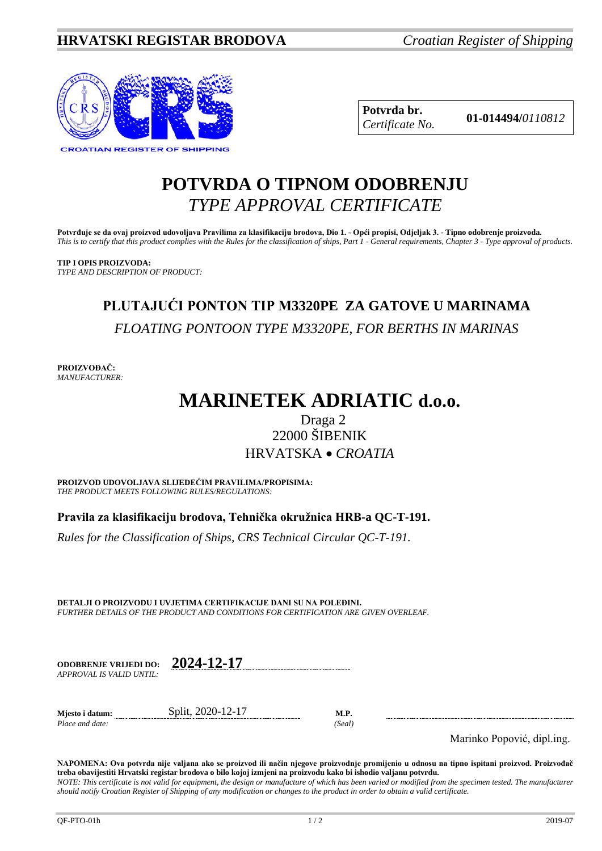

**Potvrda br. 01-014494/***<sup>0110812</sup> Certificate No.*

## **POTVRDA O TIPNOM ODOBRENJU** *TYPE APPROVAL CERTIFICATE*

**Potvrđuje se da ovaj proizvod udovoljava Pravilima za klasifikaciju brodova, Dio 1. - Opći propisi, Odjeljak 3. - Tipno odobrenje proizvoda.** *This is to certify that this product complies with the Rules for the classification of ships, Part 1 - General requirements, Chapter 3 - Type approval of products.*

**TIP I OPIS PROIZVODA:** *TYPE AND DESCRIPTION OF PRODUCT:*

# **PLUTAJUĆI PONTON TIP M3320PE ZA GATOVE U MARINAMA** *FLOATING PONTOON TYPE M3320PE, FOR BERTHS IN MARINAS*

**PROIZVOĐAČ:** *MANUFACTURER:*

# **MARINETEK ADRIATIC d.o.o.**

## Draga 2 22000 ŠIBENIK HRVATSKA • *CROATIA*

**PROIZVOD UDOVOLJAVA SLIJEDEĆIM PRAVILIMA/PROPISIMA:** *THE PRODUCT MEETS FOLLOWING RULES/REGULATIONS:*

**Pravila za klasifikaciju brodova, Tehnička okružnica HRB-a QC-T-191.** 

*Rules for the Classification of Ships, CRS Technical Circular QC-T-191.*

**DETALJI O PROIZVODU I UVJETIMA CERTIFIKACIJE DANI SU NA POLEĐINI.** *FURTHER DETAILS OF THE PRODUCT AND CONDITIONS FOR CERTIFICATION ARE GIVEN OVERLEAF.*

| <b>ODOBRENJE VRLJEDI DO:</b> | 2024-12-17 |
|------------------------------|------------|
| APPROVAL IS VALID UNTIL:     |            |

 $Place$  *and date*:

**Mjesto i datum:** Split, 2020-12-17 **M.P.**<br>Place and date: (Seal)

Marinko Popović, dipl.ing.

**NAPOMENA: Ova potvrda nije valjana ako se proizvod ili način njegove proizvodnje promijenio u odnosu na tipno ispitani proizvod. Proizvođač treba obavijestiti Hrvatski registar brodova o bilo kojoj izmjeni na proizvodu kako bi ishodio valjanu potvrdu.** *NOTE: This certificate is not valid for equipment, the design or manufacture of which has been varied or modified from the specimen tested. The manufacturer should notify Croatian Register of Shipping of any modification or changes to the product in order to obtain a valid certificate.*